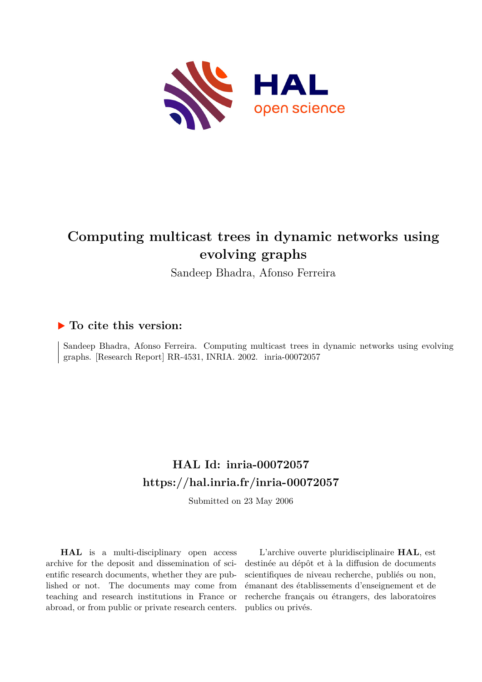

# **Computing multicast trees in dynamic networks using evolving graphs**

Sandeep Bhadra, Afonso Ferreira

### **To cite this version:**

Sandeep Bhadra, Afonso Ferreira. Computing multicast trees in dynamic networks using evolving graphs. [Research Report] RR-4531, INRIA. 2002. inria-00072057

# **HAL Id: inria-00072057 <https://hal.inria.fr/inria-00072057>**

Submitted on 23 May 2006

**HAL** is a multi-disciplinary open access archive for the deposit and dissemination of scientific research documents, whether they are published or not. The documents may come from teaching and research institutions in France or abroad, or from public or private research centers.

L'archive ouverte pluridisciplinaire **HAL**, est destinée au dépôt et à la diffusion de documents scientifiques de niveau recherche, publiés ou non, émanant des établissements d'enseignement et de recherche français ou étrangers, des laboratoires publics ou privés.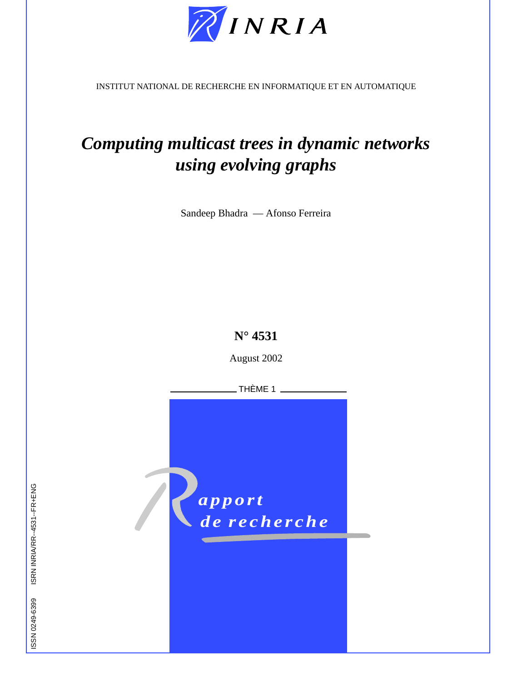

INSTITUT NATIONAL DE RECHERCHE EN INFORMATIQUE ET EN AUTOMATIQUE

# *Computing multicast trees in dynamic networks using evolving graphs*

Sandeep Bhadra — Afonso Ferreira

## **N° 4531**

August 2002

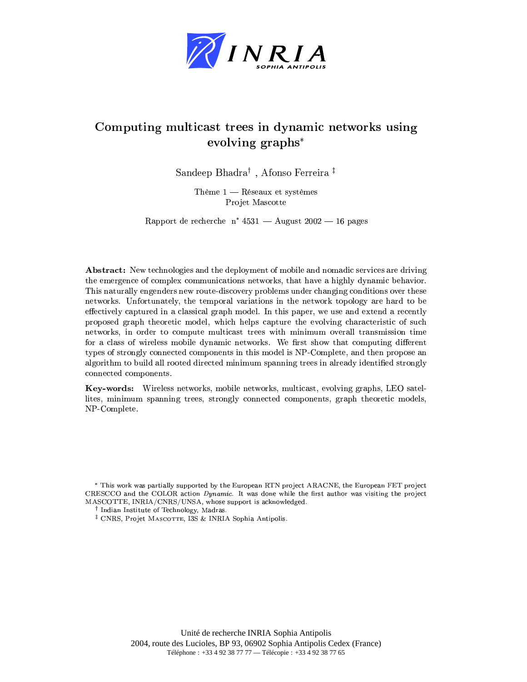

### Computing multicast trees in dynamic networks using evolving graphs\*

Sandeep Bhadra<sup>†</sup>, Afonso Ferreira<sup>‡</sup>

Thème  $1$  — Réseaux et systèmes Projet Mascotte

Rapport de recherche n° 4531 — August 2002 — 16 pages

**Abstract:** New technologies and the deployment of mobile and nomadic services are driving the emergence of complex communications networks, that have a highly dynamic behavior. This naturally engenders new route-discovery problems under changing conditions over these networks. Unfortunately, the temporal variations in the network topology are hard to be effectively captured in a classical graph model. In this paper, we use and extend a recently proposed graph theoretic model, which helps capture the evolving characteristic of such networks, in order to compute multicast trees with minimum overall transmission time for a class of wireless mobile dynamic networks. We first show that computing different types of strongly connected components in this model is NP-Complete, and then propose an algorithm to build all rooted directed minimum spanning trees in already identified strongly connected components.

Key-words: Wireless networks, mobile networks, multicast, evolving graphs, LEO satellites, minimum spanning trees, strongly connected components, graph theoretic models, NP-Complete.

<sup>\*</sup> This work was partially supported by the European RTN project ARACNE, the European FET project CRESCCO and the COLOR action Dynamic. It was done while the first author was visiting the project MASCOTTE, INRIA/CNRS/UNSA, whose support is acknowledged.

<sup>&</sup>lt;sup>†</sup> Indian Institute of Technology, Madras.

<sup>&</sup>lt;sup>‡</sup> CNRS, Projet MASCOTTE, I3S & INRIA Sophia Antipolis.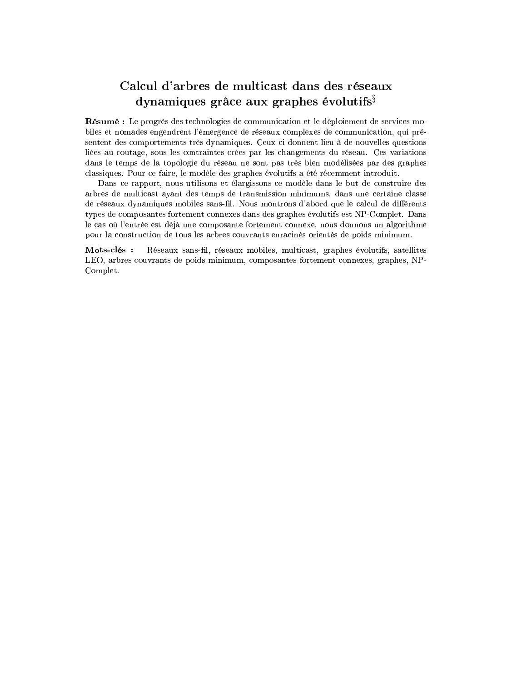### Calcul d'arbres de multicast dans des réseaux dynamiques grâce aux graphes évolutifs $\hat{s}$

Résumé : Le progrès des technologies de communication et le déploiement de services mobiles et nomades engendrent l'émergence de réseaux complexes de communication, qui présentent des comportements très dynamiques. Ceux-ci donnent lieu à de nouvelles questions liées au routage, sous les contraintes crées par les changements du réseau. Ces variations dans le temps de la topologie du réseau ne sont pas très bien modélisées par des graphes classiques. Pour ce faire, le modèle des graphes évolutifs a été récemment introduit.

Dans ce rapport, nous utilisons et élargissons ce modèle dans le but de construire des arbres de multicast ayant des temps de transmission minimums, dans une certaine classe de réseaux dynamiques mobiles sans-fil. Nous montrons d'abord que le calcul de différents types de composantes fortement connexes dans des graphes évolutifs est NP-Complet. Dans le cas où l'entrée est déjà une composante fortement connexe, nous donnons un algorithme pour la construction de tous les arbres couvrants enracinés orientés de poids minimum.

Mots-clés: Réseaux sans-fil, réseaux mobiles, multicast, graphes évolutifs, satellites LEO, arbres couvrants de poids minimum, composantes fortement connexes, graphes, NP-Complet.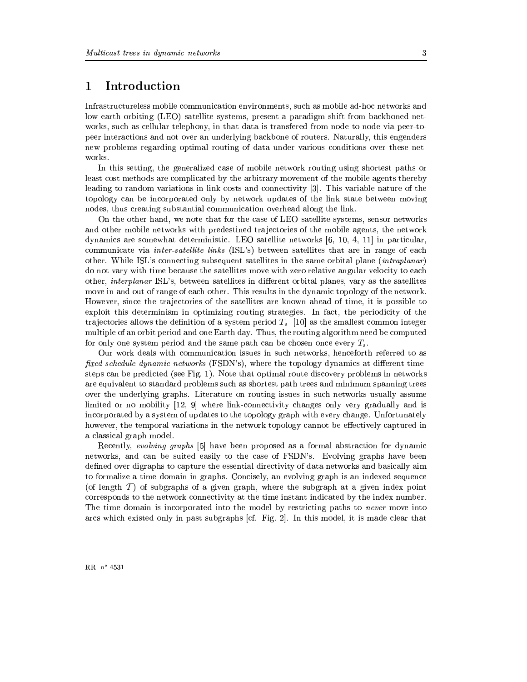#### $\mathbf{1}$ Introduction

Infrastructureless mobile communication environments, such as mobile ad-hoc networks and low earth orbiting (LEO) satellite systems, present a paradigm shift from backboned networks, such as cellular telephony, in that data is transfered from node to node via peer-topeer interactions and not over an underlying backbone of routers. Naturally, this engenders new problems regarding optimal routing of data under various conditions over these networks.

In this setting, the generalized case of mobile network routing using shortest paths or least cost methods are complicated by the arbitrary movement of the mobile agents thereby leading to random variations in link costs and connectivity [3]. This variable nature of the topology can be incorporated only by network updates of the link state between moving nodes, thus creating substantial communication overhead along the link.

On the other hand, we note that for the case of LEO satellite systems, sensor networks and other mobile networks with predestined trajectories of the mobile agents, the network dynamics are somewhat deterministic. LEO satellite networks  $[6, 10, 4, 11]$  in particular, communicate via *inter-satellite links* (ISL's) between satellites that are in range of each other. While ISL's connecting subsequent satellites in the same orbital plane *(intraplanar)* do not vary with time because the satellites move with zero relative angular velocity to each other, *interplanar* ISL's, between satellites in different orbital planes, vary as the satellites move in and out of range of each other. This results in the dynamic topology of the network. However, since the trajectories of the satellites are known ahead of time, it is possible to exploit this determinism in optimizing routing strategies. In fact, the periodicity of the trajectories allows the definition of a system period  $T_s$  [10] as the smallest common integer multiple of an orbit period and one Earth day. Thus, the routing algorithm need be computed for only one system period and the same path can be chosen once every  $T_s$ .

Our work deals with communication issues in such networks, henceforth referred to as fixed schedule dynamic networks (FSDN's), where the topology dynamics at different timesteps can be predicted (see Fig. 1). Note that optimal route discovery problems in networks are equivalent to standard problems such as shortest path trees and minimum spanning trees over the underlying graphs. Literature on routing issues in such networks usually assume limited or no mobility  $[12, 9]$  where link-connectivity changes only very gradually and is incorporated by a system of updates to the topology graph with every change. Unfortunately however, the temporal variations in the network topology cannot be effectively captured in a classical graph model.

Recently, evolving graphs [5] have been proposed as a formal abstraction for dynamic networks, and can be suited easily to the case of FSDN's. Evolving graphs have been defined over digraphs to capture the essential directivity of data networks and basically aim to formalize a time domain in graphs. Concisely, an evolving graph is an indexed sequence (of length  $\mathcal T$ ) of subgraphs of a given graph, where the subgraph at a given index point corresponds to the network connectivity at the time instant indicated by the index number. The time domain is incorporated into the model by restricting paths to *never* move into arcs which existed only in past subgraphs [cf. Fig. 2]. In this model, it is made clear that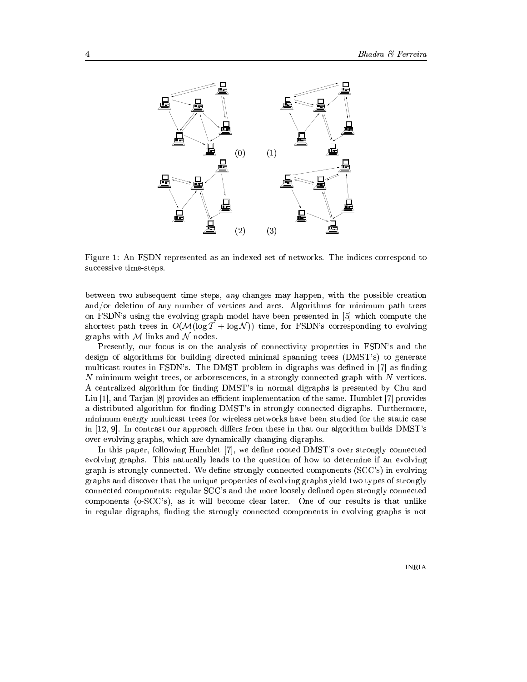

Figure 1: An FSDN represented as an indexed set of networks. The indices correspond to successive time-steps.

between two subsequent time steps, any changes may happen, with the possible creation and/or deletion of any number of vertices and arcs. Algorithms for minimum path trees on FSDN's using the evolving graph model have been presented in [5] which compute the shortest path trees in  $O(\mathcal{M}(\log T + \log \mathcal{N}))$  time, for FSDN's corresponding to evolving graphs with  $M$  links and  $N$  nodes.

Presently, our focus is on the analysis of connectivity properties in FSDN's and the design of algorithms for building directed minimal spanning trees (DMST's) to generate multicast routes in FSDN's. The DMST problem in digraphs was defined in [7] as finding  $N$  minimum weight trees, or arborescences, in a strongly connected graph with  $N$  vertices. A centralized algorithm for finding DMST's in normal digraphs is presented by Chu and Liu  $[1]$ , and Tarjan  $[8]$  provides an efficient implementation of the same. Humblet  $[7]$  provides a distributed algorithm for finding DMST's in strongly connected digraphs. Furthermore, minimum energy multicast trees for wireless networks have been studied for the static case in  $|12, 9|$ . In contrast our approach differs from these in that our algorithm builds DMST's over evolving graphs, which are dynamically changing digraphs.

In this paper, following Humblet [7], we define rooted DMST's over strongly connected evolving graphs. This naturally leads to the question of how to determine if an evolving graph is strongly connected. We define strongly connected components (SCC's) in evolving graphs and discover that the unique properties of evolving graphs yield two types of strongly connected components: regular SCC's and the more loosely defined open strongly connected components (o-SCC's), as it will become clear later. One of our results is that unlike in regular digraphs, finding the strongly connected components in evolving graphs is not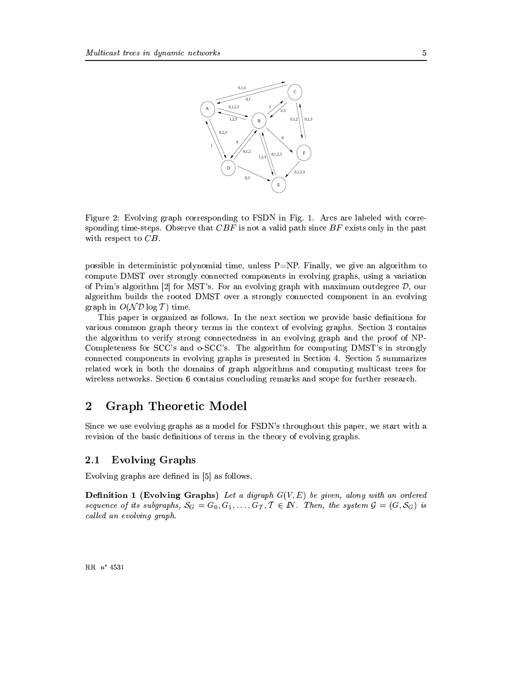

Figure 2: Evolving graph corresponding to FSDN in Fig. 1. Arcs are labeled with corresponding time-steps. Observe that  $CBF$  is not a valid path since  $BF$  exists only in the past with respect to  $CB$ .

possible in deterministic polynomial time, unless  $P=NP$ . Finally, we give an algorithm to compute DMST over strongly connected components in evolving graphs, using a variation of Prim's algorithm [2] for MST's. For an evolving graph with maximum outdegree  $\mathcal{D}$ , our algorithm builds the rooted DMST over a strongly connected component in an evolving graph in  $O(\mathcal{ND}\log T)$  time.

This paper is organized as follows. In the next section we provide basic definitions for various common graph theory terms in the context of evolving graphs. Section 3 contains the algorithm to verify strong connectedness in an evolving graph and the proof of NP-Completeness for SCC's and o-SCC's. The algorithm for computing DMST's in strongly connected components in evolving graphs is presented in Section 4. Section 5 summarizes related work in both the domains of graph algorithms and computing multicast trees for wireless networks. Section 6 contains concluding remarks and scope for further research.

#### **Graph Theoretic Model**  $\overline{2}$

Since we use evolving graphs as a model for FSDN's throughout this paper, we start with a revision of the basic definitions of terms in the theory of evolving graphs.

#### $2.1$ **Evolving Graphs**

Evolving graphs are defined in [5] as follows.

**Definition 1 (Evolving Graphs)** Let a digraph  $G(V, E)$  be given, along with an ordered sequence of its subgraphs,  $S_G = G_0, G_1, \ldots, G_T, T \in \mathbb{N}$ . Then, the system  $\mathcal{G} = (G, \mathcal{S}_G)$  is called an evolving graph.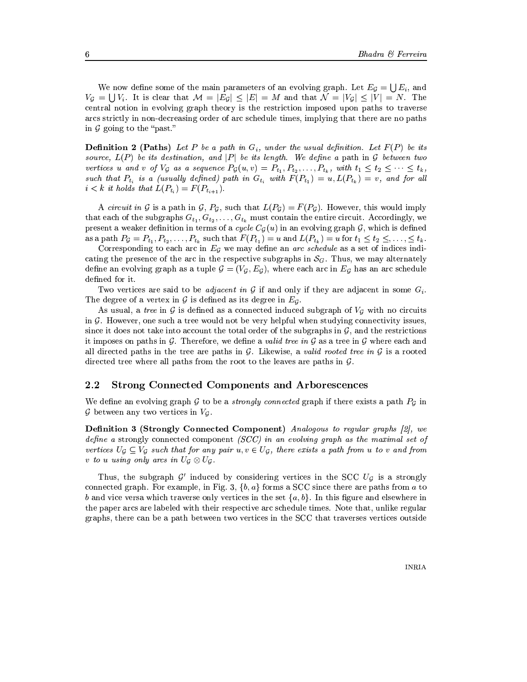We now define some of the main parameters of an evolving graph. Let  $E_q = \bigcup E_i$ , and  $V_q = \bigcup V_i$ . It is clear that  $\mathcal{M} = |E_q| \leq |E| = M$  and that  $\mathcal{N} = |V_q| \leq |V| = N$ . The central notion in evolving graph theory is the restriction imposed upon paths to traverse arcs strictly in non-decreasing order of arc schedule times, implying that there are no paths in  $G$  going to the "past."

**Definition 2 (Paths)** Let P be a path in  $G_i$ , under the usual definition. Let  $F(P)$  be its source,  $L(P)$  be its destination, and |P| be its length. We define a path in G between two vertices u and v of  $V_G$  as a sequence  $P_G(u, v) = P_{t_1}, P_{t_2}, \ldots, P_{t_k}$ , with  $t_1 \le t_2 \le \cdots \le t_k$ , such that  $P_{t_i}$  is a (usually defined) path in  $G_{t_i}$  with  $F(P_{t_1}) = u, L(P_{t_k}) = v$ , and for all  $i < k$  it holds that  $L(P_{t_i}) = F(P_{t_{i+1}})$ .

A circuit in G is a path in G,  $P_g$ , such that  $L(P_g) = F(P_g)$ . However, this would imply that each of the subgraphs  $G_{t_1}, G_{t_2}, \ldots, G_{t_k}$  must contain the entire circuit. Accordingly, we present a weaker definition in terms of a cycle  $C_g(u)$  in an evolving graph G, which is defined as a path  $P_g = P_{t_1}, P_{t_2}, \ldots, P_{t_k}$  such that  $F(P_{t_1}) = u$  and  $L(P_{t_k}) = u$  for  $t_1 \le t_2 \le \ldots, t_k$ .

Corresponding to each arc in  $E_g$  we may define an *arc schedule* as a set of indices indicating the presence of the arc in the respective subgraphs in  $S_G$ . Thus, we may alternately define an evolving graph as a tuple  $\mathcal{G} = (V_g, E_g)$ , where each arc in  $E_g$  has an arc schedule defined for it.

Two vertices are said to be *adjacent in G* if and only if they are adjacent in some  $G_i$ . The degree of a vertex in  $G$  is defined as its degree in  $E_G$ .

As usual, a tree in  $G$  is defined as a connected induced subgraph of  $V_G$  with no circuits in  $\mathcal G$ . However, one such a tree would not be very helpful when studying connectivity issues, since it does not take into account the total order of the subgraphs in  $\mathcal{G}$ , and the restrictions it imposes on paths in  $G$ . Therefore, we define a valid tree in  $G$  as a tree in  $G$  where each and all directed paths in the tree are paths in  $\mathcal G$ . Likewise, a valid rooted tree in  $\mathcal G$  is a rooted directed tree where all paths from the root to the leaves are paths in  $\mathcal{G}$ .

#### $2.2$ **Strong Connected Components and Arborescences**

We define an evolving graph  $G$  to be a *strongly connected* graph if there exists a path  $P_G$  in  $G$  between any two vertices in  $V_G$ .

**Definition 3 (Strongly Connected Component)** Analogous to regular graphs [2], we define a strongly connected component (SCC) in an evolving graph as the maximal set of vertices  $U_G \subseteq V_G$  such that for any pair  $u, v \in U_G$ , there exists a path from u to v and from v to u using only arcs in  $U_G \otimes U_G$ .

Thus, the subgraph G' induced by considering vertices in the SCC  $U_g$  is a strongly connected graph. For example, in Fig. 3,  $\{b, a\}$  forms a SCC since there are paths from a to b and vice versa which traverse only vertices in the set  $\{a, b\}$ . In this figure and elsewhere in the paper arcs are labeled with their respective arc schedule times. Note that, unlike regular graphs, there can be a path between two vertices in the SCC that traverses vertices outside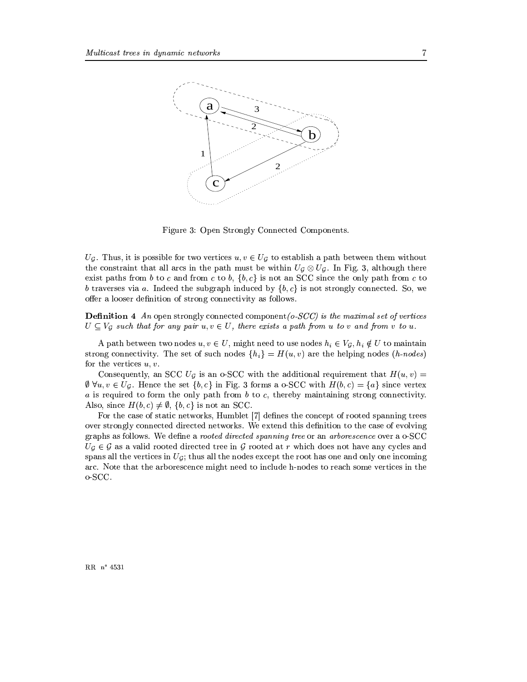

Figure 3: Open Strongly Connected Components.

 $U_{\mathcal{G}}$ . Thus, it is possible for two vertices  $u, v \in U_{\mathcal{G}}$  to establish a path between them without the constraint that all arcs in the path must be within  $U_g \otimes U_g$ . In Fig. 3, although there exist paths from b to c and from c to b,  $\{b, c\}$  is not an SCC since the only path from c to b traverses via a. Indeed the subgraph induced by  $\{b, c\}$  is not strongly connected. So, we offer a looser definition of strong connectivity as follows.

**Definition 4** An open strongly connected component ( $\sigma$ -SCC) is the maximal set of vertices  $U \subseteq V_G$  such that for any pair  $u, v \in U$ , there exists a path from u to v and from v to u.

A path between two nodes  $u, v \in U$ , might need to use nodes  $h_i \in V_g$ ,  $h_i \notin U$  to maintain strong connectivity. The set of such nodes  $\{h_i\} = H(u, v)$  are the helping nodes  $(h\text{-}nodes)$ for the vertices  $u, v$ .

Consequently, an SCC  $U_q$  is an o-SCC with the additional requirement that  $H(u, v) =$  $\emptyset \ \forall u, v \in U_{\mathcal{G}}$ . Hence the set  $\{b, c\}$  in Fig. 3 forms a o-SCC with  $H(b, c) = \{a\}$  since vertex a is required to form the only path from b to c, thereby maintaining strong connectivity. Also, since  $H(b, c) \neq \emptyset$ ,  $\{b, c\}$  is not an SCC.

For the case of static networks, Humblet [7] defines the concept of rooted spanning trees over strongly connected directed networks. We extend this definition to the case of evolving graphs as follows. We define a rooted directed spanning tree or an arborescence over a o-SCC  $U_{\mathcal{G}} \in \mathcal{G}$  as a valid rooted directed tree in  $\mathcal{G}$  rooted at r which does not have any cycles and spans all the vertices in  $U_G$ ; thus all the nodes except the root has one and only one incoming arc. Note that the arborescence might need to include h-nodes to reach some vertices in the o-SCC.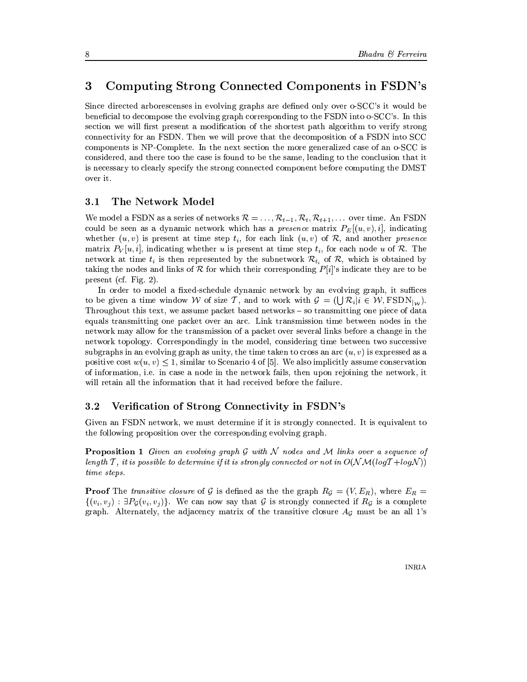#### Computing Strong Connected Components in FSDN's 3

Since directed arborescenses in evolving graphs are defined only over o-SCC's it would be beneficial to decompose the evolving graph corresponding to the FSDN into o-SCC's. In this section we will first present a modification of the shortest path algorithm to verify strong connectivity for an FSDN. Then we will prove that the decomposition of a FSDN into SCC components is NP-Complete. In the next section the more generalized case of an o-SCC is considered, and there too the case is found to be the same, leading to the conclusion that it is necessary to clearly specify the strong connected component before computing the DMST over it.

#### $3.1$ The Network Model

We model a FSDN as a series of networks  $\mathcal{R} = \ldots, \mathcal{R}_{t-1}, \mathcal{R}_t, \mathcal{R}_{t+1}, \ldots$  over time. An FSDN could be seen as a dynamic network which has a *presence* matrix  $P_E[(u, v), i]$ , indicating whether  $(u, v)$  is present at time step  $t_i$ , for each link  $(u, v)$  of  $\mathcal{R}$ , and another presence matrix  $P_V[u, i]$ , indicating whether u is present at time step  $t_i$ , for each node u of R. The network at time  $t_i$  is then represented by the subnetwork  $\mathcal{R}_{t_i}$  of  $\mathcal{R}$ , which is obtained by taking the nodes and links of R for which their corresponding  $P[i]$ 's indicate they are to be present (cf. Fig. 2).

In order to model a fixed-schedule dynamic network by an evolving graph, it suffices to be given a time window W of size T, and to work with  $\mathcal{G} = (\bigcup \mathcal{R}_i | i \in \mathcal{W}, \text{FSDN}_{\vert w})$ . Throughout this text, we assume packet based networks – so transmitting one piece of data equals transmitting one packet over an arc. Link transmission time between nodes in the network may allow for the transmission of a packet over several links before a change in the network topology. Correspondingly in the model, considering time between two successive subgraphs in an evolving graph as unity, the time taken to cross an arc  $(u, v)$  is expressed as a positive cost  $w(u, v) \leq 1$ , similar to Scenario 4 of [5]. We also implicitly assume conservation of information, i.e. in case a node in the network fails, then upon rejoining the network, it will retain all the information that it had received before the failure.

#### $3.2$ Verification of Strong Connectivity in FSDN's

Given an FSDN network, we must determine if it is strongly connected. It is equivalent to the following proposition over the corresponding evolving graph.

**Proposition 1** Given an evolving graph G with N nodes and M links over a sequence of length T, it is possible to determine if it is strongly connected or not in  $O(\mathcal{NM}(\log T + \log N))$ time steps.

**Proof** The *transitive closure* of G is defined as the the graph  $R_{\mathcal{G}} = (V, E_R)$ , where  $E_R =$  $\{(v_i, v_j) : \exists P_{\mathcal{G}}(v_i, v_j)\}\.$  We can now say that  $\mathcal G$  is strongly connected if  $R_{\mathcal{G}}$  is a complete graph. Alternately, the adjacency matrix of the transitive closure  $A<sub>g</sub>$  must be an all 1's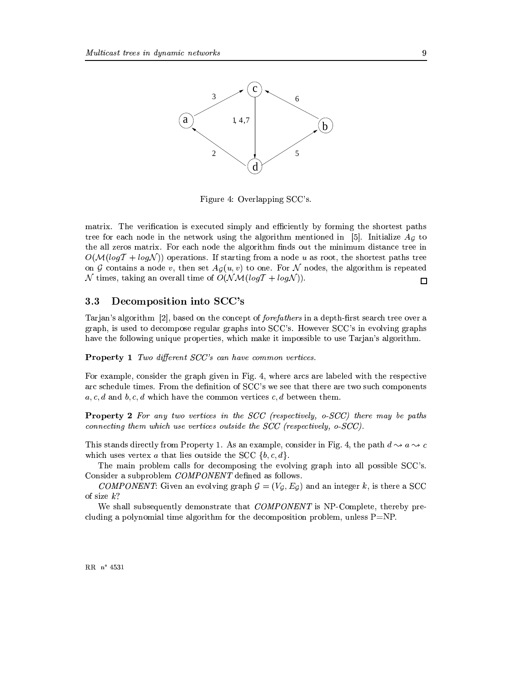

Figure 4: Overlapping SCC's.

matrix. The verification is executed simply and efficiently by forming the shortest paths tree for each node in the network using the algorithm mentioned in [5]. Initialize  $Ag$  to the all zeros matrix. For each node the algorithm finds out the minimum distance tree in  $O(\mathcal{M}(\log T + \log N))$  operations. If starting from a node u as root, the shortest paths tree on G contains a node v, then set  $A_G(u, v)$  to one. For N nodes, the algorithm is repeated N times, taking an overall time of  $O(\mathcal{NM}(logT + log\mathcal{N}))$ .  $\Box$ 

#### Decomposition into SCC's  $3.3$

Tarjan's algorithm [2], based on the concept of *forefathers* in a depth-first search tree over a graph, is used to decompose regular graphs into SCC's. However SCC's in evolving graphs have the following unique properties, which make it impossible to use Tarian's algorithm.

**Property 1** Two different SCC's can have common vertices.

For example, consider the graph given in Fig. 4, where arcs are labeled with the respective arc schedule times. From the definition of SCC's we see that there are two such components  $a, c, d$  and  $b, c, d$  which have the common vertices  $c, d$  between them.

**Property 2** For any two vertices in the SCC (respectively, o-SCC) there may be paths connecting them which use vertices outside the  $SCC$  (respectively,  $o$ - $SCC$ ).

This stands directly from Property 1. As an example, consider in Fig. 4, the path  $d \sim a \sim c$ which uses vertex a that lies outside the SCC  $\{b, c, d\}.$ 

The main problem calls for decomposing the evolving graph into all possible SCC's. Consider a subproblem COMPONENT defined as follows.

COMPONENT: Given an evolving graph  $G = (V_g, E_g)$  and an integer k, is there a SCC of size  $k$ ?

We shall subsequently demonstrate that *COMPONENT* is NP-Complete, thereby precluding a polynomial time algorithm for the decomposition problem, unless  $P=NP$ .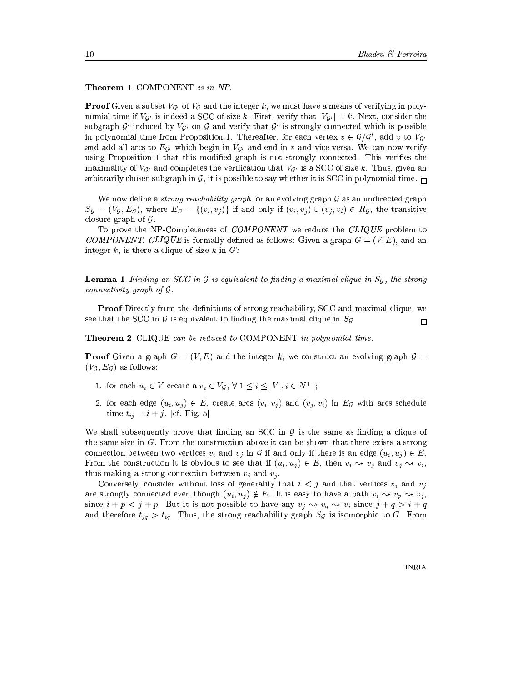Theorem 1 COMPONENT is in NP.

**Proof** Given a subset  $V_{\mathcal{G}}$  of  $V_{\mathcal{G}}$  and the integer k, we must have a means of verifying in polynomial time if  $V_{\mathcal{G}'}$  is indeed a SCC of size k. First, verify that  $|V_{\mathcal{G}'}| = k$ . Next, consider the subgraph  $\mathcal{G}'$  induced by  $V_{\mathcal{G}'}$  on  $\mathcal{G}$  and verify that  $\mathcal{G}'$  is strongly connected which is possible in polynomial time from Proposition 1. Thereafter, for each vertex  $v \in \mathcal{G}/\mathcal{G}'$ , add v to  $V_{\mathcal{G}'}$ and add all arcs to  $E_{\mathcal{G}}$  which begin in  $V_{\mathcal{G}}$  and end in v and vice versa. We can now verify using Proposition 1 that this modified graph is not strongly connected. This verifies the maximality of  $V_{\mathcal{G}'}$  and completes the verification that  $V_{\mathcal{G}'}$  is a SCC of size k. Thus, given an arbitrarily chosen subgraph in  $G$ , it is possible to say whether it is SCC in polynomial time.

We now define a *strong reachability graph* for an evolving graph  $G$  as an undirected graph  $S_g = (V_g, E_s)$ , where  $E_s = \{(v_i, v_j)\}\$ if and only if  $(v_i, v_j) \cup (v_j, v_i) \in R_g$ , the transitive closure graph of  $\mathcal G$ .

To prove the NP-Completeness of COMPONENT we reduce the CLIQUE problem to COMPONENT. CLIQUE is formally defined as follows: Given a graph  $G = (V, E)$ , and an integer k, is there a clique of size k in  $G$ ?

**Lemma 1** Finding an SCC in G is equivalent to finding a maximal clique in  $S_g$ , the strong *connectivity graph of*  $\mathcal G$ *.* 

**Proof** Directly from the definitions of strong reachability, SCC and maximal clique, we see that the SCC in G is equivalent to finding the maximal clique in  $S<sub>G</sub>$  $\Box$ 

**Theorem 2** CLIQUE can be reduced to COMPONENT in polynomial time.

**Proof** Given a graph  $G = (V, E)$  and the integer k, we construct an evolving graph  $\mathcal{G} =$  $(V_G, E_G)$  as follows:

- 1. for each  $u_i \in V$  create a  $v_i \in V_G$ ,  $\forall$   $1 \leq i \leq |V|, i \in N^+$ ;
- 2. for each edge  $(u_i, u_j) \in E$ , create arcs  $(v_i, v_j)$  and  $(v_j, v_i)$  in  $E_G$  with arcs schedule time  $t_{ij} = i + j$ . [cf. Fig. 5]

We shall subsequently prove that finding an SCC in  $\mathcal G$  is the same as finding a clique of the same size in  $G$ . From the construction above it can be shown that there exists a strong connection between two vertices  $v_i$  and  $v_j$  in G if and only if there is an edge  $(u_i, u_j) \in E$ . From the construction it is obvious to see that if  $(u_i, u_j) \in E$ , then  $v_i \rightsquigarrow v_j$  and  $v_j \rightsquigarrow v_i$ , thus making a strong connection between  $v_i$  and  $v_j$ .

Conversely, consider without loss of generality that  $i < j$  and that vertices  $v_i$  and  $v_j$ are strongly connected even though  $(u_i, u_j) \notin E$ . It is easy to have a path  $v_i \rightsquigarrow v_p \rightsquigarrow v_j$ , since  $i + p < j + p$ . But it is not possible to have any  $v_j \nightharpoonup v_q \nightharpoonup v_i$  since  $j + q > i + q$ and therefore  $t_{jq} > t_{iq}$ . Thus, the strong reachability graph  $S_g$  is isomorphic to G. From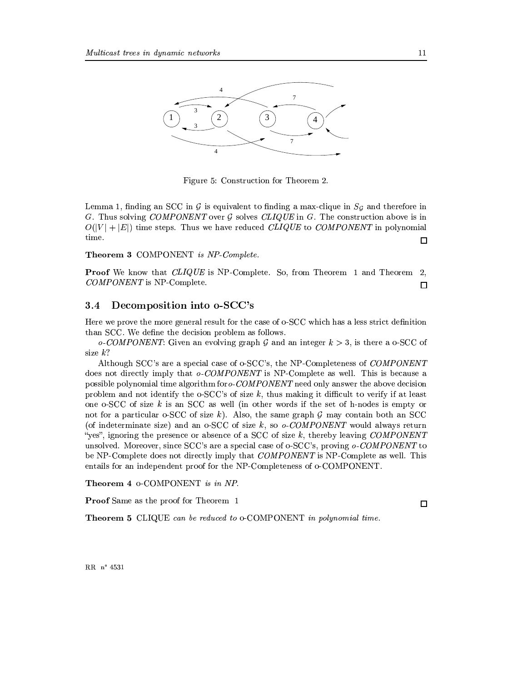

Figure 5: Construction for Theorem 2.

Lemma 1, finding an SCC in  $\mathcal G$  is equivalent to finding a max-clique in  $S_{\mathcal G}$  and therefore in G. Thus solving COMPONENT over  $\mathcal G$  solves CLIQUE in G. The construction above is in  $O(|V| + |E|)$  time steps. Thus we have reduced *CLIQUE* to *COMPONENT* in polynomial time.  $\Box$ 

Theorem 3 COMPONENT is NP-Complete.

**Proof** We know that *CLIQUE* is NP-Complete. So, from Theorem 1 and Theorem 2, COMPONENT is NP-Complete.  $\Box$ 

#### Decomposition into o-SCC's  $3.4$

Here we prove the more general result for the case of o-SCC which has a less strict definition than SCC. We define the decision problem as follows.

o-COMPONENT: Given an evolving graph G and an integer  $k > 3$ , is there a o-SCC of size  $k$ ?

Although SCC's are a special case of o-SCC's, the NP-Completeness of COMPONENT does not directly imply that o-COMPONENT is NP-Complete as well. This is because a possible polynomial time algorithm for  $o$ -COMPONENT need only answer the above decision problem and not identify the  $\circ$ -SCC's of size k, thus making it difficult to verify if at least one o-SCC of size  $k$  is an SCC as well (in other words if the set of h-nodes is empty or not for a particular o-SCC of size k). Also, the same graph  $\mathcal G$  may contain both an SCC (of indeterminate size) and an o-SCC of size k, so  $o$ -COMPONENT would always return "yes", ignoring the presence or absence of a SCC of size  $k$ , thereby leaving COMPONENT unsolved. Moreover, since SCC's are a special case of o-SCC's, proving  $o$ -COMPONENT to be NP-Complete does not directly imply that *COMPONENT* is NP-Complete as well. This entails for an independent proof for the NP-Completeness of o-COMPONENT.

Theorem 4 o-COMPONENT is in NP.

**Proof** Same as the proof for Theorem 1

**Theorem 5** CLIQUE can be reduced to o-COMPONENT in polynomial time.

 $\Box$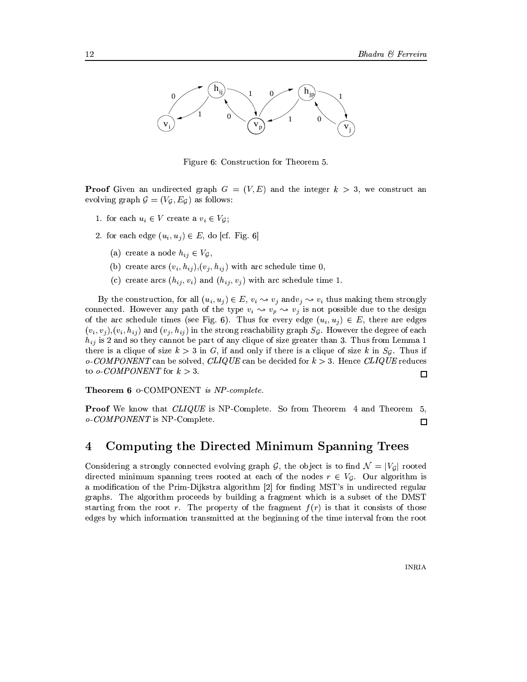

Figure 6: Construction for Theorem 5.

**Proof** Given an undirected graph  $G = (V, E)$  and the integer  $k > 3$ , we construct an evolving graph  $G = (V_G, E_G)$  as follows:

- 1. for each  $u_i \in V$  create a  $v_i \in V_{\mathcal{G}}$ ;
- 2. for each edge  $(u_i, u_j) \in E$ , do [cf. Fig. 6]
	- (a) create a node  $h_{ij} \in V_{\mathcal{G}}$ ,
	- (b) create arcs  $(v_i, h_{ij})$ ,  $(v_j, h_{ij})$  with arc schedule time 0,
	- (c) create arcs  $(h_{ij}, v_i)$  and  $(h_{ij}, v_j)$  with arc schedule time 1.

By the construction, for all  $(u_i, u_j) \in E$ ,  $v_i \sim v_j$  and  $v_j \sim v_i$  thus making them strongly connected. However any path of the type  $v_i \leadsto v_p \leadsto v_j$  is not possible due to the design of the arc schedule times (see Fig. 6). Thus for every edge  $(u_i, u_j) \in E$ , there are edges  $(v_i, v_j), (v_i, h_{ij})$  and  $(v_j, h_{ij})$  in the strong reachability graph  $S_q$ . However the degree of each  $h_{ij}$  is 2 and so they cannot be part of any clique of size greater than 3. Thus from Lemma 1 there is a clique of size  $k > 3$  in G, if and only if there is a clique of size k in  $S_q$ . Thus if  $o$ -COMPONENT can be solved, CLIQUE can be decided for  $k > 3$ . Hence CLIQUE reduces to o-COMPONENT for  $k > 3$ .

Theorem 6 o-COMPONENT is NP-complete.

**Proof** We know that *CLIQUE* is NP-Complete. So from Theorem 4 and Theorem 5,  $o$ -COMPONENT is NP-Complete.  $\Box$ 

#### Computing the Directed Minimum Spanning Trees  $\overline{4}$

Considering a strongly connected evolving graph G, the object is to find  $\mathcal{N} = |V_q|$  rooted directed minimum spanning trees rooted at each of the nodes  $r \in V_G$ . Our algorithm is a modification of the Prim-Dijkstra algorithm [2] for finding MST's in undirected regular graphs. The algorithm proceeds by building a fragment which is a subset of the DMST starting from the root r. The property of the fragment  $f(r)$  is that it consists of those edges by which information transmitted at the beginning of the time interval from the root

 $\Box$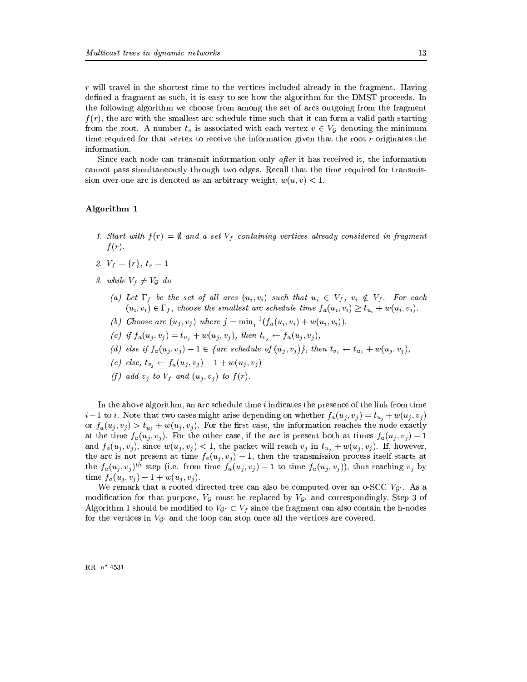$r$  will travel in the shortest time to the vertices included already in the fragment. Having defined a fragment as such, it is easy to see how the algorithm for the DMST proceeds. In the following algorithm we choose from among the set of arcs outgoing from the fragment  $f(r)$ , the arc with the smallest arc schedule time such that it can form a valid path starting from the root. A number  $t_v$  is associated with each vertex  $v \in V_G$  denoting the minimum time required for that vertex to receive the information given that the root  $r$  originates the information

Since each node can transmit information only after it has received it, the information cannot pass simultaneously through two edges. Recall that the time required for transmission over one arc is denoted as an arbitrary weight,  $w(u, v) < 1$ .

### Algorithm 1

- 1. Start with  $f(r) = \emptyset$  and a set  $V_f$  containing vertices already considered in fragment  $f(r)$ .
- 2.  $V_f = \{r\}, t_r = 1$
- 3. while  $V_f \neq V_G$  do
	- (a) Let  $\Gamma_f$  be the set of all arcs  $(u_i, v_i)$  such that  $u_i \in V_f$ ,  $v_i \notin V_f$ . For each  $(u_i, v_i) \in \Gamma_f$ , choose the smallest arc schedule time  $f_a(u_i, v_i) \ge t_{u_i} + w(u_i, v_i)$ .
	- (b) Choose arc  $(u_j, v_j)$  where  $j = \min_i^{-1}(f_a(u_i, v_i) + w(u_i, v_i)).$
	- (c) if  $f_a(u_j, v_j) = t_{u_j} + w(u_j, v_j)$ , then  $t_{v_j} \leftarrow f_a(u_j, v_j)$ ,
	- (d) else if  $f_a(u_j, v_j) 1 \in \{$ arc schedule of  $(u_j, v_j)$ , then  $t_{v_j} \leftarrow t_{u_j} + w(u_j, v_j)$ ,
	- (e) else,  $t_{v_i} \leftarrow f_a(u_i, v_i) 1 + w(u_i, v_i)$
	- (f) add  $v_i$  to  $V_f$  and  $(u_i, v_i)$  to  $f(r)$ .

In the above algorithm, an arc schedule time  $i$  indicates the presence of the link from time  $i-1$  to i. Note that two cases might arise depending on whether  $f_a(u_j, v_j) = t_{u_j} + w(u_j, v_j)$ or  $f_a(u_j, v_j) > t_{u_j} + w(u_j, v_j)$ . For the first case, the information reaches the node exactly at the time  $f_a(u_j, v_j)$ . For the other case, if the arc is present both at times  $f_a(u_j, v_j) - 1$ and  $f_a(u_j, v_j)$ , since  $w(u_j, v_j) < 1$ , the packet will reach  $v_j$  in  $t_{u_j} + w(u_j, v_j)$ . If, however, the arc is not present at time  $f_a(u_j, v_j) - 1$ , then the transmission process itself starts at the  $f_a(u_j, v_j)^{th}$  step (i.e. from time  $f_a(u_j, v_j) - 1$  to time  $f_a(u_j, v_j)$ ), thus reaching  $v_j$  by time  $f_a(u_j, v_j) - 1 + w(u_j, v_j)$ .

We remark that a rooted directed tree can also be computed over an o-SCC  $V_{\mathcal{G}}$ . As a modification for that purpose,  $V_g$  must be replaced by  $V_{g'}$  and correspondingly, Step 3 of Algorithm 1 should be modified to  $V_{G'} \subset V_f$  since the fragment can also contain the h-nodes for the vertices in  $V_{\mathcal{G}}$  and the loop can stop once all the vertices are covered.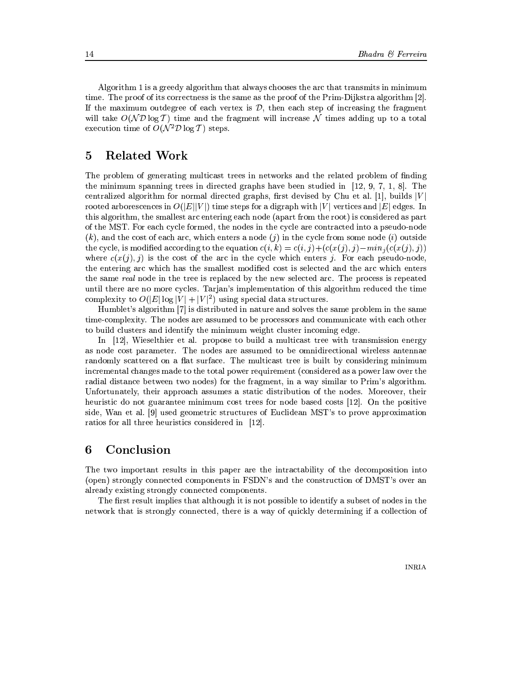Algorithm 1 is a greedy algorithm that always chooses the arc that transmits in minimum time. The proof of its correctness is the same as the proof of the Prim-Dijkstra algorithm [2]. If the maximum outdegree of each vertex is  $\mathcal{D}$ , then each step of increasing the fragment will take  $O(\mathcal{ND}\log T)$  time and the fragment will increase N times adding up to a total execution time of  $O(N^2 \mathcal{D} \log T)$  steps.

#### $\overline{5}$ **Related Work**

The problem of generating multicast trees in networks and the related problem of finding the minimum spanning trees in directed graphs have been studied in  $[12, 9, 7, 1, 8]$ . The centralized algorithm for normal directed graphs, first devised by Chu et al. [1], builds  $|V|$ rooted arborescences in  $O(|E||V|)$  time steps for a digraph with |V| vertices and |E| edges. In this algorithm, the smallest arc entering each node (apart from the root) is considered as part of the MST. For each cycle formed, the nodes in the cycle are contracted into a pseudo-node  $(k)$ , and the cost of each arc, which enters a node  $(j)$  in the cycle from some node  $(i)$  outside the cycle, is modified according to the equation  $c(i, k) = c(i, j) + (c(x(j), j) - min_i(c(x(j), j))$ where  $c(x(j), j)$  is the cost of the arc in the cycle which enters j. For each pseudo-node, the entering arc which has the smallest modified cost is selected and the arc which enters the same real node in the tree is replaced by the new selected arc. The process is repeated until there are no more cycles. Tarjan's implementation of this algorithm reduced the time complexity to  $O(|E|\log|V|+|V|^2)$  using special data structures.

Humblet's algorithm [7] is distributed in nature and solves the same problem in the same time-complexity. The nodes are assumed to be processors and communicate with each other to build clusters and identify the minimum weight cluster incoming edge.

In [12], Wieselthier et al. propose to build a multicast tree with transmission energy as node cost parameter. The nodes are assumed to be omnidirectional wireless antennae randomly scattered on a flat surface. The multicast tree is built by considering minimum incremental changes made to the total power requirement (considered as a power law over the radial distance between two nodes) for the fragment, in a way similar to Prim's algorithm. Unfortunately, their approach assumes a static distribution of the nodes. Moreover, their heuristic do not guarantee minimum cost trees for node based costs [12]. On the positive side, Wan et al. [9] used geometric structures of Euclidean MST's to prove approximation ratios for all three heuristics considered in [12].

#### 6 Conclusion

The two important results in this paper are the intractability of the decomposition into (open) strongly connected components in FSDN's and the construction of DMST's over an already existing strongly connected components.

The first result implies that although it is not possible to identify a subset of nodes in the network that is strongly connected, there is a way of quickly determining if a collection of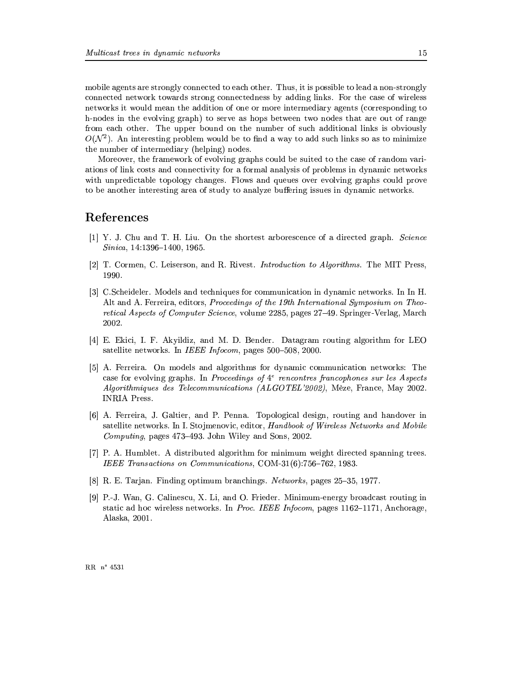mobile agents are strongly connected to each other. Thus, it is possible to lead a non-strongly connected network towards strong connectedness by adding links. For the case of wireless networks it would mean the addition of one or more intermediary agents (corresponding to h-nodes in the evolving graph) to serve as hops between two nodes that are out of range from each other. The upper bound on the number of such additional links is obviously  $O(N^2)$ . An interesting problem would be to find a way to add such links so as to minimize the number of intermediary (helping) nodes.

Moreover, the framework of evolving graphs could be suited to the case of random variations of link costs and connectivity for a formal analysis of problems in dynamic networks with unpredictable topology changes. Flows and queues over evolving graphs could prove to be another interesting area of study to analyze buffering issues in dynamic networks.

### References

- [1] Y. J. Chu and T. H. Liu. On the shortest arborescence of a directed graph. Science  $Sinica, 14:1396-1400, 1965.$
- [2] T. Cormen, C. Leiserson, and R. Rivest. Introduction to Algorithms. The MIT Press, 1990.
- [3] C.Scheideler. Models and techniques for communication in dynamic networks. In In H. Alt and A. Ferreira, editors, *Proceedinas of the 19th International Sumposium on Theo*retical Aspects of Computer Science, volume 2285, pages 27–49. Springer-Verlag, March 2002.
- [4] E. Ekici, I. F. Akyildiz, and M. D. Bender. Datagram routing algorithm for LEO satellite networks. In IEEE Infocom, pages 500-508, 2000.
- [5] A. Ferreira. On models and algorithms for dynamic communication networks: The case for evolving graphs. In Proceedings of  $4^e$  rencontres francophones sur les Aspects *Algorithmiques des Telecommunications (ALGOTEL'2002)*, Mèze, France, May 2002. **INRIA Press.**
- [6] A. Ferreira, J. Galtier, and P. Penna. Topological design, routing and handover in satellite networks. In I. Stojmenovic, editor, Handbook of Wireless Networks and Mobile *Computing*, pages 473–493. John Wiley and Sons, 2002.
- [7] P. A. Humblet. A distributed algorithm for minimum weight directed spanning trees. IEEE Transactions on Communications, COM-31(6):756-762, 1983.
- [8] R. E. Tarjan. Finding optimum branchings. Networks, pages 25–35, 1977.
- [9] P.-J. Wan, G. Calinescu, X. Li, and O. Frieder. Minimum-energy broadcast routing in static ad hoc wireless networks. In *Proc. IEEE Infocom*, pages 1162–1171, Anchorage, Alaska, 2001.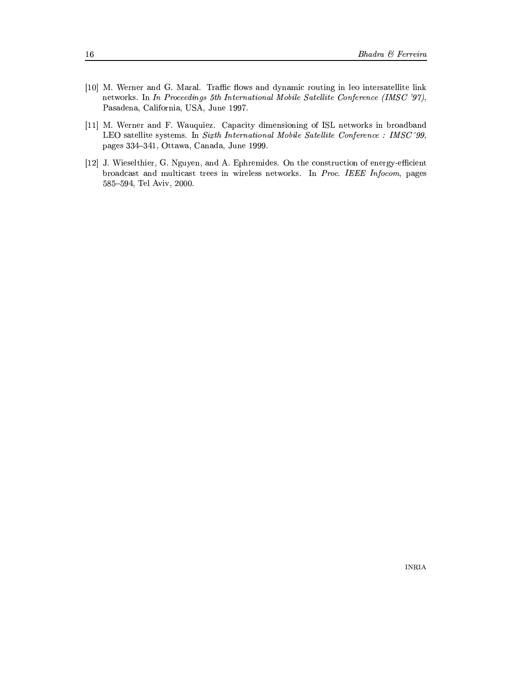- [10] M. Werner and G. Maral. Traffic flows and dynamic routing in leo intersatellite link networks. In In Proceedings 5th International Mobile Satellite Conference (IMSC '97), Pasadena, California, USA, June 1997.
- [11] M. Werner and F. Wauquiez. Capacity dimensioning of ISL networks in broadband LEO satellite systems. In Sixth International Mobile Satellite Conference : IMSC '99, pages 334-341, Ottawa, Canada, June 1999.
- [12] J. Wieselthier, G. Nguyen, and A. Ephremides. On the construction of energy-efficient broadcast and multicast trees in wireless networks. In Proc. IEEE Infocom, pages 585-594, Tel Aviv, 2000.